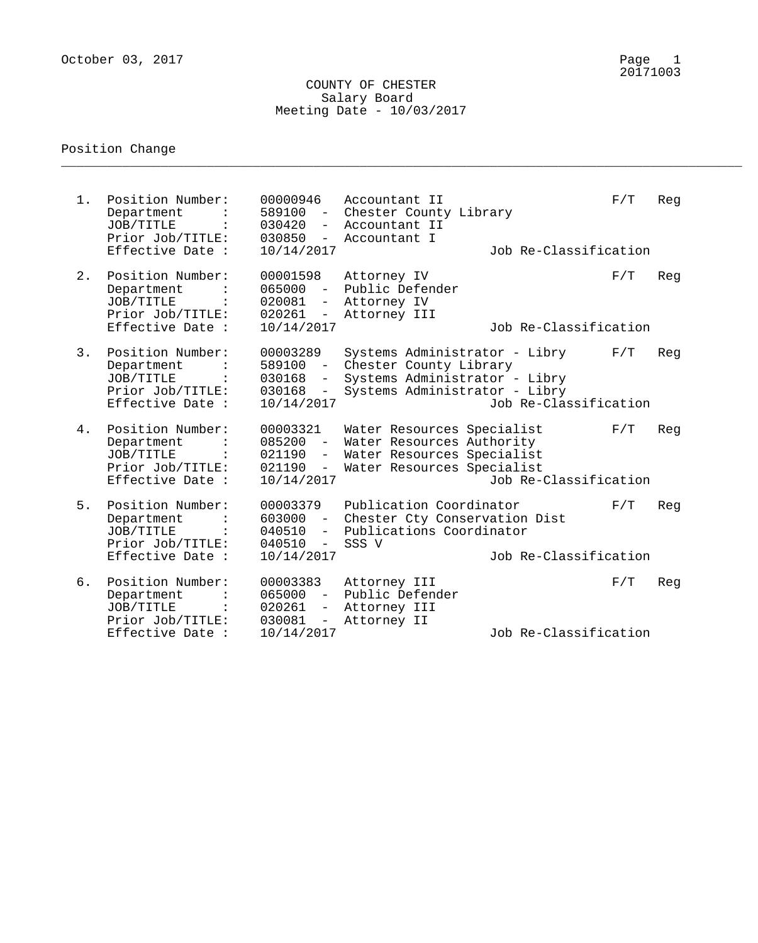## COUNTY OF CHESTER Salary Board Meeting Date - 10/03/2017

\_\_\_\_\_\_\_\_\_\_\_\_\_\_\_\_\_\_\_\_\_\_\_\_\_\_\_\_\_\_\_\_\_\_\_\_\_\_\_\_\_\_\_\_\_\_\_\_\_\_\_\_\_\_\_\_\_\_\_\_\_\_\_\_\_\_\_\_\_\_\_\_\_\_\_\_\_\_\_\_\_\_\_\_\_\_\_\_\_

## Position Change

| $1$ . | Position Number:<br>Department<br>JOB/TITLE<br>Prior Job/TITLE:<br>Effective Date : | 00000946<br>589100 -<br>030420<br>$-$<br>$030850 -$<br>10/14/2017                                                | Accountant II<br>Chester County Library<br>Accountant II<br>Accountant I                                                  | Job Re-Classification | F/T | Reg |
|-------|-------------------------------------------------------------------------------------|------------------------------------------------------------------------------------------------------------------|---------------------------------------------------------------------------------------------------------------------------|-----------------------|-----|-----|
| 2.    | Position Number:<br>Department<br>JOB/TITLE<br>Prior Job/TITLE:<br>Effective Date : | 00001598<br>$065000 -$<br>020081<br>$\overline{\phantom{m}}$<br>$020261 -$<br>10/14/2017                         | Attorney IV<br>Public Defender<br>Attorney IV<br>Attorney III                                                             | Job Re-Classification | F/T | Reg |
| 3.    | Position Number:<br>Department<br>JOB/TITLE<br>Prior Job/TITLE:<br>Effective Date : | 00003289<br>589100 -<br>030168<br>$ \sim$<br>030168<br>$ \,$<br>10/14/2017                                       | Systems Administrator - Libry<br>Chester County Library<br>Systems Administrator - Libry<br>Systems Administrator - Libry | Job Re-Classification | F/T | Reg |
| 4.    | Position Number:<br>Department<br>JOB/TITLE<br>Prior Job/TITLE:<br>Effective Date : | 00003321<br>$085200 -$<br>$021190 -$<br>021190<br>$\sim$ $-$<br>10/14/2017                                       | Water Resources Specialist<br>Water Resources Authority<br>Water Resources Specialist<br>Water Resources Specialist       | Job Re-Classification | F/T | Reg |
| 5.    | Position Number:<br>Department<br>JOB/TITLE<br>Prior Job/TITLE:<br>Effective Date : | 00003379<br>$603000 -$<br>040510<br>$-$<br>040510<br>$-$<br>10/14/2017                                           | Publication Coordinator<br>Chester Cty Conservation Dist<br>Publications Coordinator<br>SSS V                             | Job Re-Classification | F/T | Reg |
| б.    | Position Number:<br>Department<br>JOB/TITLE<br>Prior Job/TITLE:<br>Effective Date : | 00003383<br>$065000 -$<br>020261<br>$\overline{\phantom{m}}$<br>030081<br>$\overline{\phantom{a}}$<br>10/14/2017 | Attorney III<br>Public Defender<br>Attorney III<br>Attorney II                                                            | Job Re-Classification | F/T | Reg |